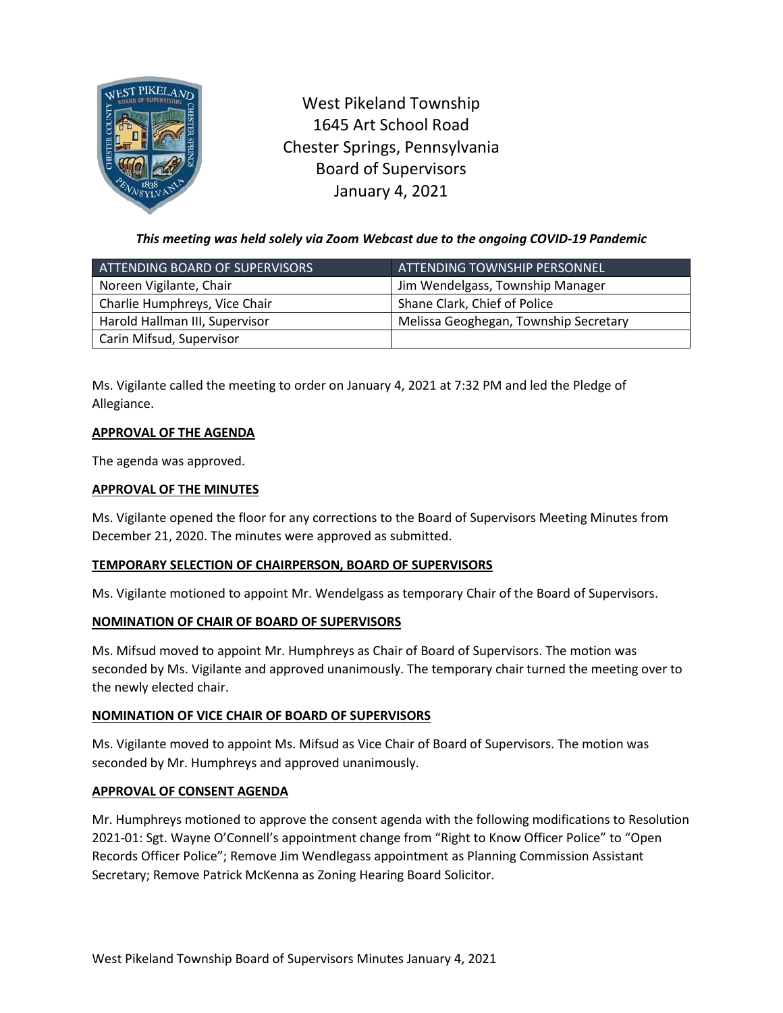

West Pikeland Township 1645 Art School Road Chester Springs, Pennsylvania Board of Supervisors January 4, 2021

*This meeting was held solely via Zoom Webcast due to the ongoing COVID-19 Pandemic*

| ATTENDING BOARD OF SUPERVISORS | <b>ATTENDING TOWNSHIP PERSONNEL</b>   |
|--------------------------------|---------------------------------------|
| Noreen Vigilante, Chair        | Jim Wendelgass, Township Manager      |
| Charlie Humphreys, Vice Chair  | Shane Clark, Chief of Police          |
| Harold Hallman III, Supervisor | Melissa Geoghegan, Township Secretary |
| Carin Mifsud, Supervisor       |                                       |

Ms. Vigilante called the meeting to order on January 4, 2021 at 7:32 PM and led the Pledge of Allegiance.

# **APPROVAL OF THE AGENDA**

The agenda was approved.

# **APPROVAL OF THE MINUTES**

Ms. Vigilante opened the floor for any corrections to the Board of Supervisors Meeting Minutes from December 21, 2020. The minutes were approved as submitted.

# **TEMPORARY SELECTION OF CHAIRPERSON, BOARD OF SUPERVISORS**

Ms. Vigilante motioned to appoint Mr. Wendelgass as temporary Chair of the Board of Supervisors.

# **NOMINATION OF CHAIR OF BOARD OF SUPERVISORS**

Ms. Mifsud moved to appoint Mr. Humphreys as Chair of Board of Supervisors. The motion was seconded by Ms. Vigilante and approved unanimously. The temporary chair turned the meeting over to the newly elected chair.

# **NOMINATION OF VICE CHAIR OF BOARD OF SUPERVISORS**

Ms. Vigilante moved to appoint Ms. Mifsud as Vice Chair of Board of Supervisors. The motion was seconded by Mr. Humphreys and approved unanimously.

#### **APPROVAL OF CONSENT AGENDA**

Mr. Humphreys motioned to approve the consent agenda with the following modifications to Resolution 2021-01: Sgt. Wayne O'Connell's appointment change from "Right to Know Officer Police" to "Open Records Officer Police"; Remove Jim Wendlegass appointment as Planning Commission Assistant Secretary; Remove Patrick McKenna as Zoning Hearing Board Solicitor.